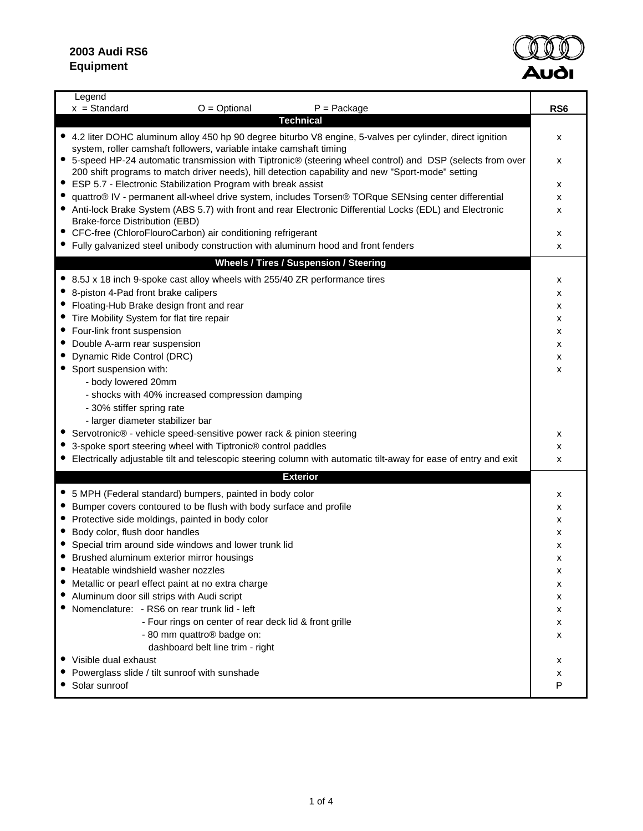

| Legend<br>$x = Standard$<br>$O = \text{Optional}$<br>$P =$ Package                                                                                                               | RS <sub>6</sub> |  |  |  |  |  |
|----------------------------------------------------------------------------------------------------------------------------------------------------------------------------------|-----------------|--|--|--|--|--|
| Technical                                                                                                                                                                        |                 |  |  |  |  |  |
| • 4.2 liter DOHC aluminum alloy 450 hp 90 degree biturbo V8 engine, 5-valves per cylinder, direct ignition                                                                       | х               |  |  |  |  |  |
| system, roller camshaft followers, variable intake camshaft timing<br>• 5-speed HP-24 automatic transmission with Tiptronic® (steering wheel control) and DSP (selects from over |                 |  |  |  |  |  |
| 200 shift programs to match driver needs), hill detection capability and new "Sport-mode" setting                                                                                |                 |  |  |  |  |  |
| ESP 5.7 - Electronic Stabilization Program with break assist<br>$\bullet$                                                                                                        |                 |  |  |  |  |  |
| quattro® IV - permanent all-wheel drive system, includes Torsen® TORque SENsing center differential                                                                              |                 |  |  |  |  |  |
| • Anti-lock Brake System (ABS 5.7) with front and rear Electronic Differential Locks (EDL) and Electronic                                                                        |                 |  |  |  |  |  |
| Brake-force Distribution (EBD)                                                                                                                                                   |                 |  |  |  |  |  |
| • CFC-free (ChloroFlouroCarbon) air conditioning refrigerant                                                                                                                     | х               |  |  |  |  |  |
| • Fully galvanized steel unibody construction with aluminum hood and front fenders                                                                                               | x               |  |  |  |  |  |
| Wheels / Tires / Suspension / Steering                                                                                                                                           |                 |  |  |  |  |  |
| • 8.5J x 18 inch 9-spoke cast alloy wheels with 255/40 ZR performance tires                                                                                                      | х               |  |  |  |  |  |
| 8-piston 4-Pad front brake calipers                                                                                                                                              | х               |  |  |  |  |  |
| Floating-Hub Brake design front and rear                                                                                                                                         | х               |  |  |  |  |  |
| Tire Mobility System for flat tire repair                                                                                                                                        | х               |  |  |  |  |  |
| Four-link front suspension                                                                                                                                                       | х               |  |  |  |  |  |
| Double A-arm rear suspension<br>Dynamic Ride Control (DRC)                                                                                                                       | х               |  |  |  |  |  |
| Sport suspension with:                                                                                                                                                           | х<br>x          |  |  |  |  |  |
| - body lowered 20mm                                                                                                                                                              |                 |  |  |  |  |  |
| - shocks with 40% increased compression damping                                                                                                                                  |                 |  |  |  |  |  |
| - 30% stiffer spring rate                                                                                                                                                        |                 |  |  |  |  |  |
| - larger diameter stabilizer bar                                                                                                                                                 |                 |  |  |  |  |  |
| Servotronic® - vehicle speed-sensitive power rack & pinion steering                                                                                                              | х               |  |  |  |  |  |
| 3-spoke sport steering wheel with Tiptronic® control paddles                                                                                                                     | x               |  |  |  |  |  |
| • Electrically adjustable tilt and telescopic steering column with automatic tilt-away for ease of entry and exit                                                                | x               |  |  |  |  |  |
| <b>Exterior</b>                                                                                                                                                                  |                 |  |  |  |  |  |
| • 5 MPH (Federal standard) bumpers, painted in body color                                                                                                                        | х               |  |  |  |  |  |
| Bumper covers contoured to be flush with body surface and profile                                                                                                                | х               |  |  |  |  |  |
| Protective side moldings, painted in body color                                                                                                                                  | х               |  |  |  |  |  |
| Body color, flush door handles                                                                                                                                                   | х               |  |  |  |  |  |
| Special trim around side windows and lower trunk lid                                                                                                                             | x               |  |  |  |  |  |
| Brushed aluminum exterior mirror housings                                                                                                                                        | x               |  |  |  |  |  |
| Heatable windshield washer nozzles                                                                                                                                               | х               |  |  |  |  |  |
| Metallic or pearl effect paint at no extra charge                                                                                                                                | х               |  |  |  |  |  |
| Aluminum door sill strips with Audi script<br>Nomenclature: - RS6 on rear trunk lid - left                                                                                       | х               |  |  |  |  |  |
| - Four rings on center of rear deck lid & front grille                                                                                                                           | х<br>x          |  |  |  |  |  |
| - 80 mm quattro <sup>®</sup> badge on:                                                                                                                                           | x               |  |  |  |  |  |
| dashboard belt line trim - right                                                                                                                                                 |                 |  |  |  |  |  |
| • Visible dual exhaust                                                                                                                                                           | х               |  |  |  |  |  |
| Powerglass slide / tilt sunroof with sunshade                                                                                                                                    | х               |  |  |  |  |  |
| Solar sunroof                                                                                                                                                                    | P               |  |  |  |  |  |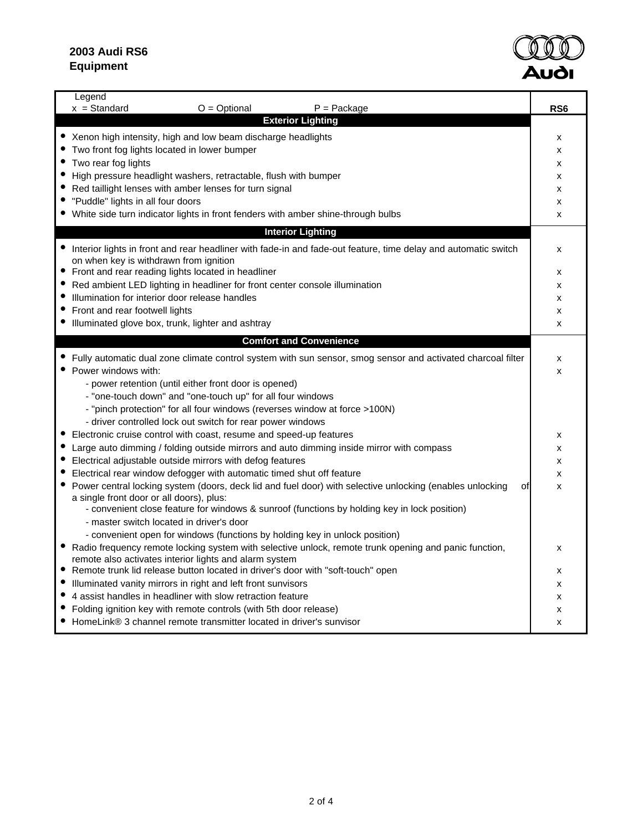## **2003 Audi RS6 Equipment**



| Legend                                                                                                                                                            |                 |  |  |  |  |  |  |  |
|-------------------------------------------------------------------------------------------------------------------------------------------------------------------|-----------------|--|--|--|--|--|--|--|
| $x = Standard$<br>$O = Optional$<br>$P =$ Package<br><b>Exterior Lighting</b>                                                                                     | RS <sub>6</sub> |  |  |  |  |  |  |  |
|                                                                                                                                                                   |                 |  |  |  |  |  |  |  |
| • Xenon high intensity, high and low beam discharge headlights                                                                                                    | х               |  |  |  |  |  |  |  |
| • Two front fog lights located in lower bumper                                                                                                                    |                 |  |  |  |  |  |  |  |
| • Two rear fog lights                                                                                                                                             |                 |  |  |  |  |  |  |  |
| • High pressure headlight washers, retractable, flush with bumper                                                                                                 |                 |  |  |  |  |  |  |  |
| • Red taillight lenses with amber lenses for turn signal                                                                                                          |                 |  |  |  |  |  |  |  |
| • "Puddle" lights in all four doors                                                                                                                               |                 |  |  |  |  |  |  |  |
| • White side turn indicator lights in front fenders with amber shine-through bulbs                                                                                |                 |  |  |  |  |  |  |  |
| <b>Interior Lighting</b>                                                                                                                                          |                 |  |  |  |  |  |  |  |
| • Interior lights in front and rear headliner with fade-in and fade-out feature, time delay and automatic switch                                                  | x               |  |  |  |  |  |  |  |
| on when key is withdrawn from ignition                                                                                                                            |                 |  |  |  |  |  |  |  |
| Front and rear reading lights located in headliner                                                                                                                | х               |  |  |  |  |  |  |  |
| Red ambient LED lighting in headliner for front center console illumination                                                                                       | X               |  |  |  |  |  |  |  |
| Illumination for interior door release handles                                                                                                                    | x<br>X          |  |  |  |  |  |  |  |
| • Front and rear footwell lights                                                                                                                                  |                 |  |  |  |  |  |  |  |
| • Illuminated glove box, trunk, lighter and ashtray                                                                                                               | X               |  |  |  |  |  |  |  |
| <b>Comfort and Convenience</b>                                                                                                                                    |                 |  |  |  |  |  |  |  |
| • Fully automatic dual zone climate control system with sun sensor, smog sensor and activated charcoal filter                                                     | x               |  |  |  |  |  |  |  |
| • Power windows with:                                                                                                                                             | X               |  |  |  |  |  |  |  |
| - power retention (until either front door is opened)                                                                                                             |                 |  |  |  |  |  |  |  |
| - "one-touch down" and "one-touch up" for all four windows                                                                                                        |                 |  |  |  |  |  |  |  |
| - "pinch protection" for all four windows (reverses window at force >100N)                                                                                        |                 |  |  |  |  |  |  |  |
| - driver controlled lock out switch for rear power windows                                                                                                        |                 |  |  |  |  |  |  |  |
| Electronic cruise control with coast, resume and speed-up features                                                                                                | X               |  |  |  |  |  |  |  |
| Large auto dimming / folding outside mirrors and auto dimming inside mirror with compass                                                                          | X               |  |  |  |  |  |  |  |
| Electrical adjustable outside mirrors with defog features                                                                                                         | X               |  |  |  |  |  |  |  |
| Electrical rear window defogger with automatic timed shut off feature                                                                                             | X               |  |  |  |  |  |  |  |
| • Power central locking system (doors, deck lid and fuel door) with selective unlocking (enables unlocking                                                        | οf<br>X         |  |  |  |  |  |  |  |
| a single front door or all doors), plus:                                                                                                                          |                 |  |  |  |  |  |  |  |
| - convenient close feature for windows & sunroof (functions by holding key in lock position)                                                                      |                 |  |  |  |  |  |  |  |
| - master switch located in driver's door                                                                                                                          |                 |  |  |  |  |  |  |  |
| - convenient open for windows (functions by holding key in unlock position)                                                                                       |                 |  |  |  |  |  |  |  |
| • Radio frequency remote locking system with selective unlock, remote trunk opening and panic function,<br>remote also activates interior lights and alarm system | X               |  |  |  |  |  |  |  |
| Remote trunk lid release button located in driver's door with "soft-touch" open                                                                                   | х               |  |  |  |  |  |  |  |
| Illuminated vanity mirrors in right and left front sunvisors                                                                                                      | X               |  |  |  |  |  |  |  |
| • 4 assist handles in headliner with slow retraction feature                                                                                                      | x               |  |  |  |  |  |  |  |
| Folding ignition key with remote controls (with 5th door release)                                                                                                 | x               |  |  |  |  |  |  |  |
| • HomeLink® 3 channel remote transmitter located in driver's sunvisor                                                                                             | x               |  |  |  |  |  |  |  |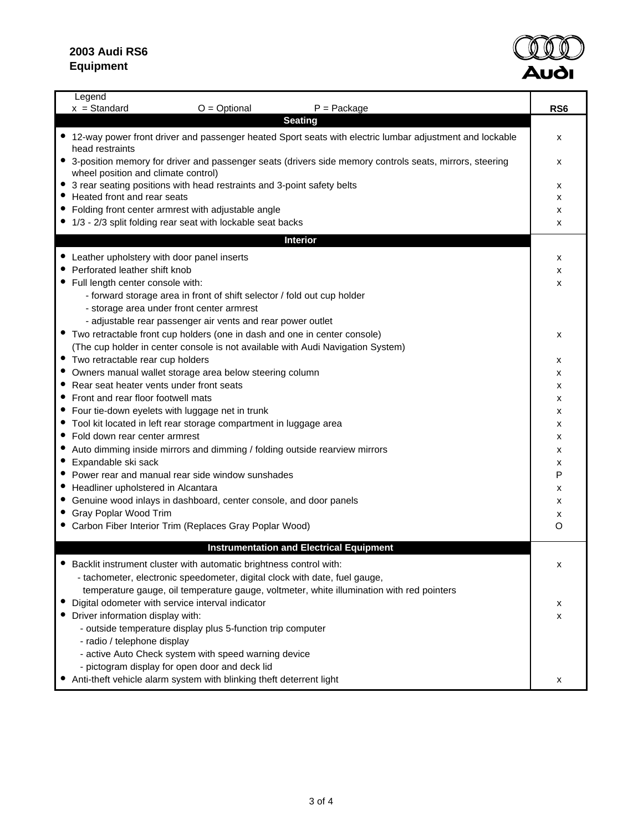П



| Legend<br>$x = Standard$<br>$O = \text{Optional}$<br>$P =$ Package                                                           | RS <sub>6</sub> |
|------------------------------------------------------------------------------------------------------------------------------|-----------------|
| <b>Seating</b>                                                                                                               |                 |
| • 12-way power front driver and passenger heated Sport seats with electric lumbar adjustment and lockable<br>head restraints | х               |
| • 3-position memory for driver and passenger seats (drivers side memory controls seats, mirrors, steering                    | х               |
| wheel position and climate control)                                                                                          |                 |
| • 3 rear seating positions with head restraints and 3-point safety belts                                                     | х               |
| Heated front and rear seats<br>• Folding front center armrest with adjustable angle                                          | x               |
| • 1/3 - 2/3 split folding rear seat with lockable seat backs                                                                 | х<br>x          |
| <b>Interior</b>                                                                                                              |                 |
|                                                                                                                              |                 |
| • Leather upholstery with door panel inserts<br>• Perforated leather shift knob                                              | х               |
| • Full length center console with:                                                                                           | х<br>х          |
| - forward storage area in front of shift selector / fold out cup holder                                                      |                 |
| - storage area under front center armrest                                                                                    |                 |
| - adjustable rear passenger air vents and rear power outlet                                                                  |                 |
| • Two retractable front cup holders (one in dash and one in center console)                                                  | х               |
| (The cup holder in center console is not available with Audi Navigation System)                                              |                 |
| • Two retractable rear cup holders                                                                                           | x               |
| • Owners manual wallet storage area below steering column                                                                    | x               |
| • Rear seat heater vents under front seats                                                                                   | x               |
| • Front and rear floor footwell mats                                                                                         | x               |
| • Four tie-down eyelets with luggage net in trunk                                                                            | х               |
| • Tool kit located in left rear storage compartment in luggage area                                                          | х               |
| Fold down rear center armrest<br>Auto dimming inside mirrors and dimming / folding outside rearview mirrors                  | х               |
| Expandable ski sack                                                                                                          | х<br>х          |
| • Power rear and manual rear side window sunshades                                                                           | P               |
| • Headliner upholstered in Alcantara                                                                                         | x               |
| • Genuine wood inlays in dashboard, center console, and door panels                                                          | х               |
| • Gray Poplar Wood Trim                                                                                                      | x               |
| • Carbon Fiber Interior Trim (Replaces Gray Poplar Wood)                                                                     | $\circ$         |
| <b>Instrumentation and Electrical Equipment</b>                                                                              |                 |
| Backlit instrument cluster with automatic brightness control with:                                                           | x               |
| - tachometer, electronic speedometer, digital clock with date, fuel gauge,                                                   |                 |
| temperature gauge, oil temperature gauge, voltmeter, white illumination with red pointers                                    |                 |
| Digital odometer with service interval indicator                                                                             | x               |
| Driver information display with:                                                                                             | x               |
| - outside temperature display plus 5-function trip computer                                                                  |                 |
| - radio / telephone display                                                                                                  |                 |
| - active Auto Check system with speed warning device                                                                         |                 |
| - pictogram display for open door and deck lid                                                                               |                 |
| Anti-theft vehicle alarm system with blinking theft deterrent light                                                          | х               |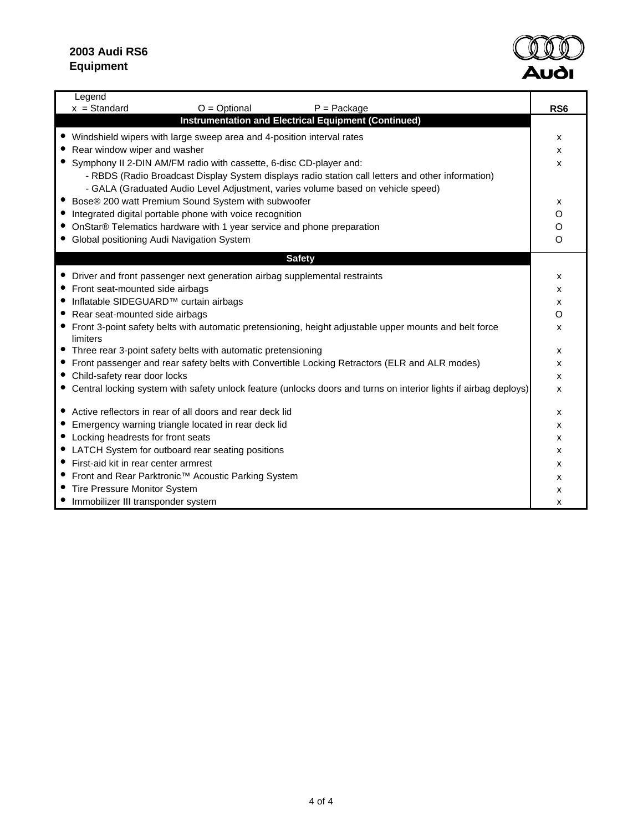

| Legend                                                                                                               |                 |
|----------------------------------------------------------------------------------------------------------------------|-----------------|
| $x = Standard$<br>$O = \text{Optional}$<br>$P =$ Package                                                             | RS <sub>6</sub> |
| Instrumentation and Electrical Equipment (Continued)                                                                 |                 |
| • Windshield wipers with large sweep area and 4-position interval rates                                              | x               |
| Rear window wiper and washer                                                                                         | x               |
| • Symphony II 2-DIN AM/FM radio with cassette, 6-disc CD-player and:                                                 | x               |
| - RBDS (Radio Broadcast Display System displays radio station call letters and other information)                    |                 |
| - GALA (Graduated Audio Level Adjustment, varies volume based on vehicle speed)                                      |                 |
| • Bose® 200 watt Premium Sound System with subwoofer                                                                 | x               |
| Integrated digital portable phone with voice recognition                                                             | O               |
| OnStar® Telematics hardware with 1 year service and phone preparation                                                | O               |
| • Global positioning Audi Navigation System                                                                          | $\circ$         |
| <b>Safety</b>                                                                                                        |                 |
|                                                                                                                      |                 |
| • Driver and front passenger next generation airbag supplemental restraints                                          | x               |
| • Front seat-mounted side airbags                                                                                    | x               |
| ● Inflatable SIDEGUARD <sup>™</sup> curtain airbags                                                                  | x               |
| Rear seat-mounted side airbags                                                                                       | O               |
| • Front 3-point safety belts with automatic pretensioning, height adjustable upper mounts and belt force<br>limiters | x               |
| • Three rear 3-point safety belts with automatic pretensioning                                                       | x               |
| • Front passenger and rear safety belts with Convertible Locking Retractors (ELR and ALR modes)                      | x               |
| Child-safety rear door locks                                                                                         | x               |
| • Central locking system with safety unlock feature (unlocks doors and turns on interior lights if airbag deploys)   | x               |
|                                                                                                                      |                 |
| • Active reflectors in rear of all doors and rear deck lid                                                           | x               |
| Emergency warning triangle located in rear deck lid                                                                  | x               |
| Locking headrests for front seats                                                                                    | x               |
| • LATCH System for outboard rear seating positions                                                                   | x               |
| • First-aid kit in rear center armrest                                                                               | x               |
| Front and Rear Parktronic™ Acoustic Parking System                                                                   | x               |
| Tire Pressure Monitor System                                                                                         | x               |
| Immobilizer III transponder system                                                                                   | x               |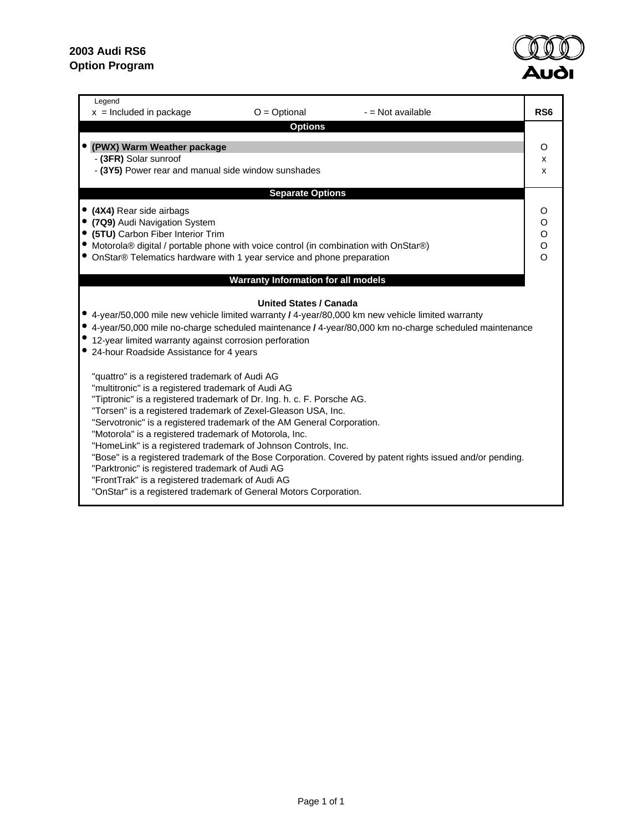

| Legend<br>$x =$ Included in package<br>$O = Optional$<br>- = Not available                                                                                                                                                                                                                                                                                                                                                                                                                                                                                                                                                                                                                                                                     | RS <sub>6</sub>                       |  |  |  |  |  |  |  |
|------------------------------------------------------------------------------------------------------------------------------------------------------------------------------------------------------------------------------------------------------------------------------------------------------------------------------------------------------------------------------------------------------------------------------------------------------------------------------------------------------------------------------------------------------------------------------------------------------------------------------------------------------------------------------------------------------------------------------------------------|---------------------------------------|--|--|--|--|--|--|--|
| <b>Options</b>                                                                                                                                                                                                                                                                                                                                                                                                                                                                                                                                                                                                                                                                                                                                 |                                       |  |  |  |  |  |  |  |
| (PWX) Warm Weather package<br>- (3FR) Solar sunroof<br>- (3Y5) Power rear and manual side window sunshades                                                                                                                                                                                                                                                                                                                                                                                                                                                                                                                                                                                                                                     | O<br>x<br>X                           |  |  |  |  |  |  |  |
| <b>Separate Options</b>                                                                                                                                                                                                                                                                                                                                                                                                                                                                                                                                                                                                                                                                                                                        |                                       |  |  |  |  |  |  |  |
| • (4X4) Rear side airbags<br>(7Q9) Audi Navigation System<br>(5TU) Carbon Fiber Interior Trim<br>Motorola® digital / portable phone with voice control (in combination with OnStar®)<br>• OnStar® Telematics hardware with 1 year service and phone preparation                                                                                                                                                                                                                                                                                                                                                                                                                                                                                | O<br>O<br>$\rm _{\rm o}^{\rm o}$<br>O |  |  |  |  |  |  |  |
| <b>Warranty Information for all models</b>                                                                                                                                                                                                                                                                                                                                                                                                                                                                                                                                                                                                                                                                                                     |                                       |  |  |  |  |  |  |  |
| <b>United States / Canada</b><br>● 4-year/50,000 mile new vehicle limited warranty / 4-year/80,000 km new vehicle limited warranty<br>4-year/50,000 mile no-charge scheduled maintenance / 4-year/80,000 km no-charge scheduled maintenance<br>12-year limited warranty against corrosion perforation<br>24-hour Roadside Assistance for 4 years                                                                                                                                                                                                                                                                                                                                                                                               |                                       |  |  |  |  |  |  |  |
| "quattro" is a registered trademark of Audi AG<br>"multitronic" is a registered trademark of Audi AG<br>"Tiptronic" is a registered trademark of Dr. Ing. h. c. F. Porsche AG.<br>"Torsen" is a registered trademark of Zexel-Gleason USA, Inc.<br>"Servotronic" is a registered trademark of the AM General Corporation.<br>"Motorola" is a registered trademark of Motorola, Inc.<br>"HomeLink" is a registered trademark of Johnson Controls, Inc.<br>"Bose" is a registered trademark of the Bose Corporation. Covered by patent rights issued and/or pending.<br>"Parktronic" is registered trademark of Audi AG<br>"FrontTrak" is a registered trademark of Audi AG<br>"OnStar" is a registered trademark of General Motors Corporation. |                                       |  |  |  |  |  |  |  |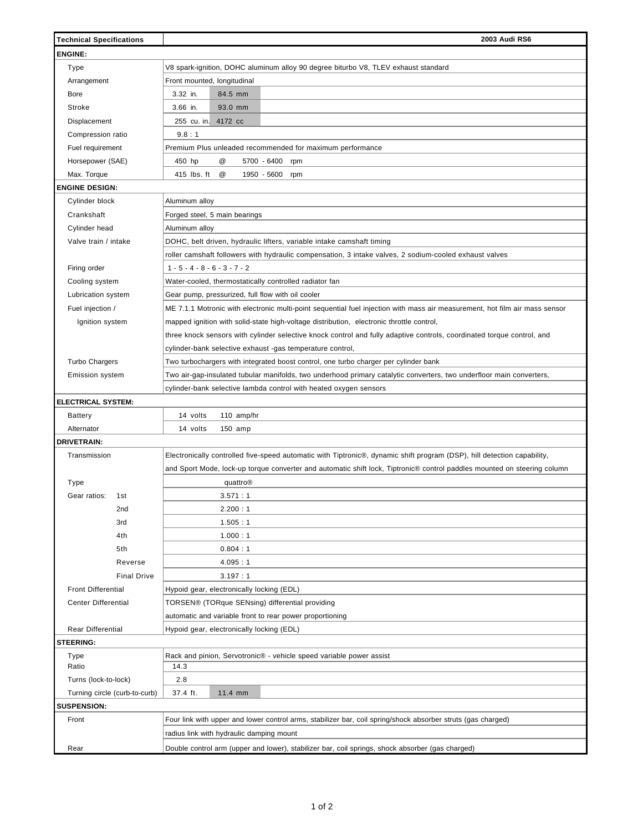| <b>Technical Specifications</b>                                                                             | 2003 Audi RS6                                                                                                               |  |  |  |  |  |  |  |  |  |
|-------------------------------------------------------------------------------------------------------------|-----------------------------------------------------------------------------------------------------------------------------|--|--|--|--|--|--|--|--|--|
| <b>ENGINE:</b>                                                                                              |                                                                                                                             |  |  |  |  |  |  |  |  |  |
| Type                                                                                                        | V8 spark-ignition, DOHC aluminum alloy 90 degree biturbo V8, TLEV exhaust standard                                          |  |  |  |  |  |  |  |  |  |
| Arrangement                                                                                                 | Front mounted, longitudinal                                                                                                 |  |  |  |  |  |  |  |  |  |
| Bore                                                                                                        | 3.32 in.<br>84.5 mm                                                                                                         |  |  |  |  |  |  |  |  |  |
| Stroke                                                                                                      | 3.66 in.<br>93.0 mm                                                                                                         |  |  |  |  |  |  |  |  |  |
| Displacement                                                                                                | 255 cu. in. 4172 cc                                                                                                         |  |  |  |  |  |  |  |  |  |
| Compression ratio                                                                                           | 9.8:1                                                                                                                       |  |  |  |  |  |  |  |  |  |
| Fuel requirement                                                                                            | Premium Plus unleaded recommended for maximum performance                                                                   |  |  |  |  |  |  |  |  |  |
| Horsepower (SAE)                                                                                            | @<br>450 hp<br>5700 - 6400<br>rpm                                                                                           |  |  |  |  |  |  |  |  |  |
| Max. Torque                                                                                                 | @<br>415 lbs. ft<br>1950 - 5600<br>rpm                                                                                      |  |  |  |  |  |  |  |  |  |
| <b>ENGINE DESIGN:</b>                                                                                       |                                                                                                                             |  |  |  |  |  |  |  |  |  |
| Cylinder block                                                                                              | Aluminum alloy                                                                                                              |  |  |  |  |  |  |  |  |  |
| Crankshaft                                                                                                  |                                                                                                                             |  |  |  |  |  |  |  |  |  |
|                                                                                                             | Forged steel, 5 main bearings                                                                                               |  |  |  |  |  |  |  |  |  |
| Cylinder head<br>Valve train / intake                                                                       | Aluminum alloy                                                                                                              |  |  |  |  |  |  |  |  |  |
|                                                                                                             | DOHC, belt driven, hydraulic lifters, variable intake camshaft timing                                                       |  |  |  |  |  |  |  |  |  |
|                                                                                                             | roller camshaft followers with hydraulic compensation, 3 intake valves, 2 sodium-cooled exhaust valves                      |  |  |  |  |  |  |  |  |  |
| Firing order                                                                                                | $1 - 5 - 4 - 8 - 6 - 3 - 7 - 2$                                                                                             |  |  |  |  |  |  |  |  |  |
| Cooling system                                                                                              | Water-cooled, thermostatically controlled radiator fan                                                                      |  |  |  |  |  |  |  |  |  |
| Lubrication system                                                                                          | Gear pump, pressurized, full flow with oil cooler                                                                           |  |  |  |  |  |  |  |  |  |
| Fuel injection /                                                                                            | ME 7.1.1 Motronic with electronic multi-point sequential fuel injection with mass air measurement, hot film air mass sensor |  |  |  |  |  |  |  |  |  |
| Ignition system<br>mapped ignition with solid-state high-voltage distribution, electronic throttle control, |                                                                                                                             |  |  |  |  |  |  |  |  |  |
|                                                                                                             | three knock sensors with cylinder selective knock control and fully adaptive controls, coordinated torque control, and      |  |  |  |  |  |  |  |  |  |
|                                                                                                             | cylinder-bank selective exhaust -gas temperature control,                                                                   |  |  |  |  |  |  |  |  |  |
| <b>Turbo Chargers</b>                                                                                       | Two turbochargers with integrated boost control, one turbo charger per cylinder bank                                        |  |  |  |  |  |  |  |  |  |
| <b>Emission system</b>                                                                                      | Two air-gap-insulated tubular manifolds, two underhood primary catalytic converters, two underfloor main converters,        |  |  |  |  |  |  |  |  |  |
|                                                                                                             | cylinder-bank selective lambda control with heated oxygen sensors                                                           |  |  |  |  |  |  |  |  |  |
| <b>ELECTRICAL SYSTEM:</b>                                                                                   |                                                                                                                             |  |  |  |  |  |  |  |  |  |
| <b>Battery</b>                                                                                              | 14 volts<br>110 amp/hr                                                                                                      |  |  |  |  |  |  |  |  |  |
| Alternator                                                                                                  | 14 volts<br>$150$ amp                                                                                                       |  |  |  |  |  |  |  |  |  |
| <b>DRIVETRAIN:</b>                                                                                          |                                                                                                                             |  |  |  |  |  |  |  |  |  |
| Transmission                                                                                                | Electronically controlled five-speed automatic with Tiptronic®, dynamic shift program (DSP), hill detection capability,     |  |  |  |  |  |  |  |  |  |
|                                                                                                             | and Sport Mode, lock-up torque converter and automatic shift lock, Tiptronic® control paddles mounted on steering column    |  |  |  |  |  |  |  |  |  |
| Type                                                                                                        | quattro®                                                                                                                    |  |  |  |  |  |  |  |  |  |
| Gear ratios:<br>1st                                                                                         | 3.571:1                                                                                                                     |  |  |  |  |  |  |  |  |  |
| 2nd                                                                                                         | 2.200:1                                                                                                                     |  |  |  |  |  |  |  |  |  |
| 3rd                                                                                                         | 1.505:1                                                                                                                     |  |  |  |  |  |  |  |  |  |
| 4th                                                                                                         | 1.000:1                                                                                                                     |  |  |  |  |  |  |  |  |  |
| 5th                                                                                                         | 0.804:1                                                                                                                     |  |  |  |  |  |  |  |  |  |
| Reverse                                                                                                     | 4.095:1                                                                                                                     |  |  |  |  |  |  |  |  |  |
| <b>Final Drive</b>                                                                                          | 3.197:1                                                                                                                     |  |  |  |  |  |  |  |  |  |
| <b>Front Differential</b>                                                                                   | Hypoid gear, electronically locking (EDL)                                                                                   |  |  |  |  |  |  |  |  |  |
| <b>Center Differential</b>                                                                                  | TORSEN® (TORque SENsing) differential providing                                                                             |  |  |  |  |  |  |  |  |  |
|                                                                                                             | automatic and variable front to rear power proportioning                                                                    |  |  |  |  |  |  |  |  |  |
| <b>Rear Differential</b>                                                                                    | Hypoid gear, electronically locking (EDL)                                                                                   |  |  |  |  |  |  |  |  |  |
| <b>STEERING:</b>                                                                                            |                                                                                                                             |  |  |  |  |  |  |  |  |  |
| Type                                                                                                        | Rack and pinion, Servotronic® - vehicle speed variable power assist                                                         |  |  |  |  |  |  |  |  |  |
| Ratio                                                                                                       | 14.3                                                                                                                        |  |  |  |  |  |  |  |  |  |
| Turns (lock-to-lock)                                                                                        | 2.8                                                                                                                         |  |  |  |  |  |  |  |  |  |
| Turning circle (curb-to-curb)                                                                               | 37.4 ft.<br>11.4 mm                                                                                                         |  |  |  |  |  |  |  |  |  |
| <b>SUSPENSION:</b>                                                                                          |                                                                                                                             |  |  |  |  |  |  |  |  |  |
| Front                                                                                                       | Four link with upper and lower control arms, stabilizer bar, coil spring/shock absorber struts (gas charged)                |  |  |  |  |  |  |  |  |  |
|                                                                                                             | radius link with hydraulic damping mount                                                                                    |  |  |  |  |  |  |  |  |  |
| Rear                                                                                                        | Double control arm (upper and lower), stabilizer bar, coil springs, shock absorber (gas charged)                            |  |  |  |  |  |  |  |  |  |